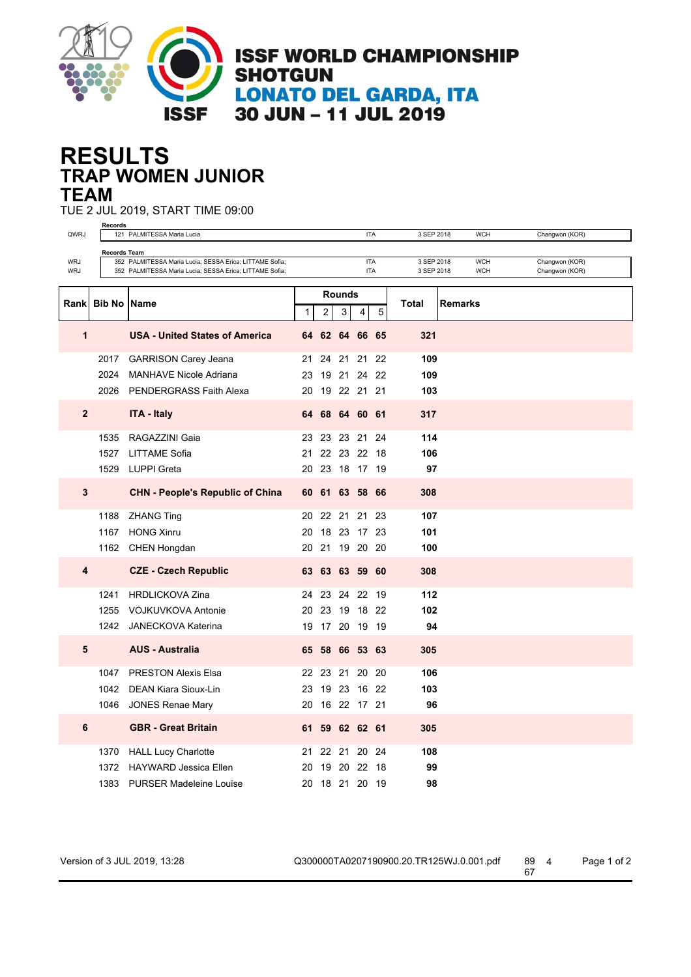

## **TRAP WOMEN JUNIOR RESULTS TEAM**

TUE 2 JUL 2019, START TIME 09:00

|                                                                                                                          | <b>Records</b> |                                                         |    |                |        |             |       |            |            |                                  |
|--------------------------------------------------------------------------------------------------------------------------|----------------|---------------------------------------------------------|----|----------------|--------|-------------|-------|------------|------------|----------------------------------|
| QWRJ                                                                                                                     |                | 121 PALMITESSA Maria Lucia                              |    |                |        | <b>ITA</b>  |       | 3 SEP 2018 | <b>WCH</b> | Changwon (KOR)                   |
| <b>Records Team</b><br><b>ITA</b><br>3 SEP 2018<br><b>WCH</b><br>352 PALMITESSA Maria Lucia; SESSA Erica; LITTAME Sofia; |                |                                                         |    |                |        |             |       |            |            |                                  |
| WRJ<br>WRJ                                                                                                               |                | 352 PALMITESSA Maria Lucia; SESSA Erica; LITTAME Sofia; |    |                |        | <b>ITA</b>  |       | 3 SEP 2018 | <b>WCH</b> | Changwon (KOR)<br>Changwon (KOR) |
|                                                                                                                          |                |                                                         |    |                |        |             |       |            |            |                                  |
| Rank                                                                                                                     | <b>Bib No</b>  | <b>Name</b>                                             |    | <b>Rounds</b>  | 5<br>4 |             | Total | Remarks    |            |                                  |
|                                                                                                                          |                |                                                         |    | $\overline{2}$ |        |             | 3     |            |            |                                  |
| 1                                                                                                                        |                | <b>USA - United States of America</b>                   |    | 64 62          |        | 64 66 65    |       | 321        |            |                                  |
|                                                                                                                          | 2017           | <b>GARRISON Carey Jeana</b>                             | 21 | 24             |        | 21 21 22    |       | 109        |            |                                  |
|                                                                                                                          | 2024           | <b>MANHAVE Nicole Adriana</b>                           | 23 |                |        | 19 21 24 22 |       | 109        |            |                                  |
|                                                                                                                          | 2026           | PENDERGRASS Faith Alexa                                 |    | 20 19 22 21 21 |        |             |       | 103        |            |                                  |
| $\mathbf{2}$                                                                                                             |                | <b>ITA - Italy</b>                                      |    | 64 68          |        | 64 60 61    |       | 317        |            |                                  |
|                                                                                                                          | 1535           | RAGAZZINI Gaia                                          | 23 | 23 23 21 24    |        |             |       | 114        |            |                                  |
|                                                                                                                          | 1527           | <b>LITTAME Sofia</b>                                    | 21 |                |        | 22 23 22 18 |       | 106        |            |                                  |
|                                                                                                                          | 1529           | <b>LUPPI</b> Greta                                      |    | 20 23 18 17 19 |        |             |       | 97         |            |                                  |
| $\mathbf{3}$                                                                                                             |                | <b>CHN - People's Republic of China</b>                 | 60 | 61             |        | 63 58 66    |       | 308        |            |                                  |
|                                                                                                                          | 1188           | <b>ZHANG Ting</b>                                       | 20 |                |        | 22 21 21    | 23    | 107        |            |                                  |
|                                                                                                                          | 1167           | <b>HONG Xinru</b>                                       | 20 |                |        | 18 23 17 23 |       | 101        |            |                                  |
|                                                                                                                          | 1162           | <b>CHEN Hongdan</b>                                     | 20 |                |        | 21 19 20 20 |       | 100        |            |                                  |
|                                                                                                                          |                |                                                         |    |                |        |             |       |            |            |                                  |
| 4                                                                                                                        |                | <b>CZE - Czech Republic</b>                             |    | 63 63 63 59 60 |        |             |       | 308        |            |                                  |
|                                                                                                                          | 1241           | <b>HRDLICKOVA Zina</b>                                  |    | 24 23 24 22 19 |        |             |       | 112        |            |                                  |
|                                                                                                                          | 1255           | <b>VOJKUVKOVA Antonie</b>                               |    | 20 23 19 18 22 |        |             |       | 102        |            |                                  |
|                                                                                                                          | 1242           | JANECKOVA Katerina                                      |    | 19 17 20 19 19 |        |             |       | 94         |            |                                  |
| 5                                                                                                                        |                | <b>AUS - Australia</b>                                  |    | 65 58 66 53 63 |        |             |       | 305        |            |                                  |
|                                                                                                                          | 1047           | <b>PRESTON Alexis Elsa</b>                              |    | 22 23 21 20 20 |        |             |       | 106        |            |                                  |
|                                                                                                                          | 1042           | <b>DEAN Kiara Sioux-Lin</b>                             | 23 |                |        | 19 23 16 22 |       | 103        |            |                                  |
|                                                                                                                          |                | 1046 JONES Renae Mary                                   |    | 20 16 22 17 21 |        |             |       | 96         |            |                                  |
| 6                                                                                                                        |                | <b>GBR - Great Britain</b>                              |    | 61 59 62 62 61 |        |             |       | 305        |            |                                  |
|                                                                                                                          | 1370           | <b>HALL Lucy Charlotte</b>                              | 21 | 22             |        | 21 20 24    |       | 108        |            |                                  |
|                                                                                                                          | 1372           | <b>HAYWARD Jessica Ellen</b>                            | 20 |                |        | 19 20 22 18 |       | 99         |            |                                  |
|                                                                                                                          | 1383           | <b>PURSER Madeleine Louise</b>                          |    | 20 18 21 20 19 |        |             |       | 98         |            |                                  |

Version of 3 JUL 2019, 13:28 Q300000TA0207190900.20.TR125WJ.0.001.pdf 89 4 Page 1 of 2